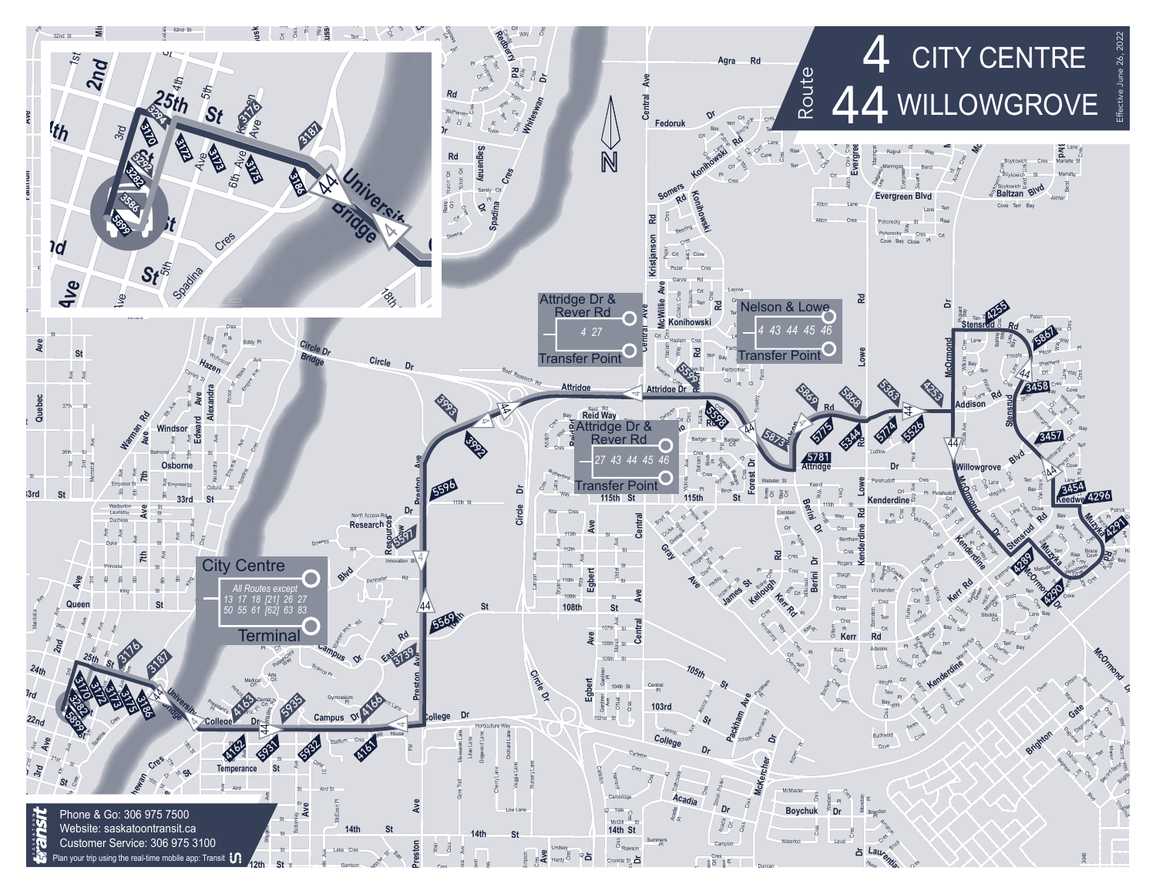